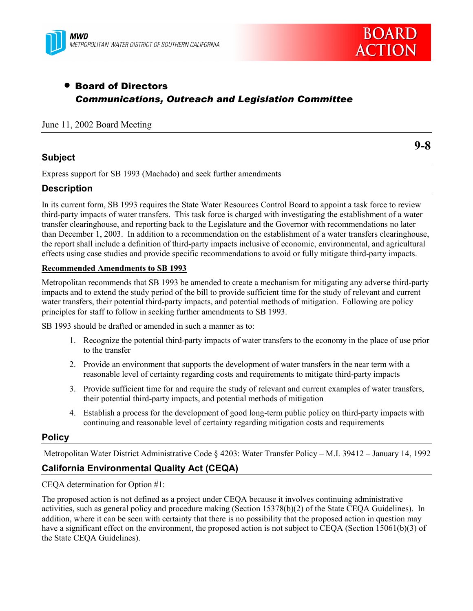



# • Board of Directors *Communications, Outreach and Legislation Committee*

### June 11, 2002 Board Meeting

## **Subject**

**9-8**

Express support for SB 1993 (Machado) and seek further amendments

## **Description**

In its current form, SB 1993 requires the State Water Resources Control Board to appoint a task force to review third-party impacts of water transfers. This task force is charged with investigating the establishment of a water transfer clearinghouse, and reporting back to the Legislature and the Governor with recommendations no later than December 1, 2003. In addition to a recommendation on the establishment of a water transfers clearinghouse, the report shall include a definition of third-party impacts inclusive of economic, environmental, and agricultural effects using case studies and provide specific recommendations to avoid or fully mitigate third-party impacts.

#### **Recommended Amendments to SB 1993**

Metropolitan recommends that SB 1993 be amended to create a mechanism for mitigating any adverse third-party impacts and to extend the study period of the bill to provide sufficient time for the study of relevant and current water transfers, their potential third-party impacts, and potential methods of mitigation. Following are policy principles for staff to follow in seeking further amendments to SB 1993.

SB 1993 should be drafted or amended in such a manner as to:

- 1. Recognize the potential third-party impacts of water transfers to the economy in the place of use prior to the transfer
- 2. Provide an environment that supports the development of water transfers in the near term with a reasonable level of certainty regarding costs and requirements to mitigate third-party impacts
- 3. Provide sufficient time for and require the study of relevant and current examples of water transfers, their potential third-party impacts, and potential methods of mitigation
- 4. Establish a process for the development of good long-term public policy on third-party impacts with continuing and reasonable level of certainty regarding mitigation costs and requirements

### **Policy**

Metropolitan Water District Administrative Code § 4203: Water Transfer Policy – M.I. 39412 – January 14, 1992

## **California Environmental Quality Act (CEQA)**

CEQA determination for Option #1:

The proposed action is not defined as a project under CEQA because it involves continuing administrative activities, such as general policy and procedure making (Section 15378(b)(2) of the State CEQA Guidelines). In addition, where it can be seen with certainty that there is no possibility that the proposed action in question may have a significant effect on the environment, the proposed action is not subject to CEQA (Section 15061(b)(3) of the State CEQA Guidelines).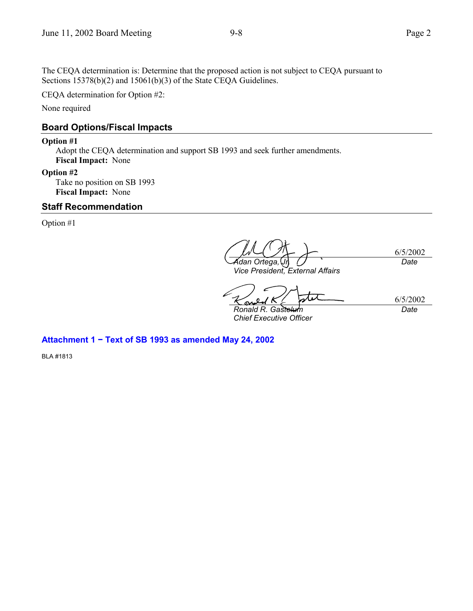CEQA determination for Option #2:

None required

## **Board Options/Fiscal Impacts**

### **Option #1**

Adopt the CEQA determination and support SB 1993 and seek further amendments. **Fiscal Impact:** None

### **Option #2**

Take no position on SB 1993 **Fiscal Impact:** None

## **Staff Recommendation**

Option #1

6/5/2002 *Adan Ortega, Jr. Date*

*Vice President, External Affairs*

6/5/2002 *Ronald R. Gastelum*

*Chief Executive Officer*

*Date*

**Attachment 1 − Text of SB 1993 as amended May 24, 2002**

BLA #1813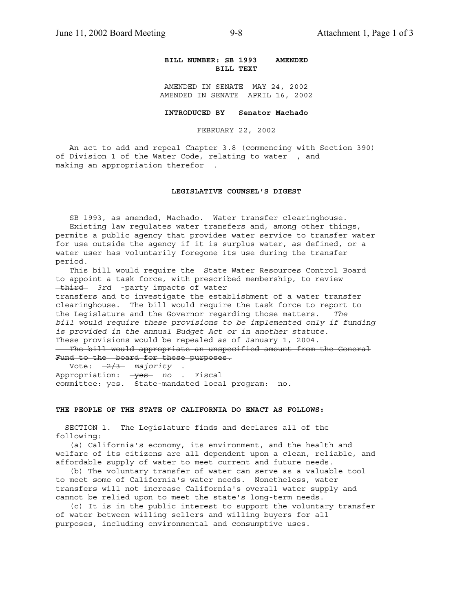#### **BILL NUMBER: SB 1993 AMENDED BILL TEXT**

AMENDED IN SENATE MAY 24, 2002 AMENDED IN SENATE APRIL 16, 2002

**INTRODUCED BY Senator Machado**

FEBRUARY 22, 2002

 An act to add and repeal Chapter 3.8 (commencing with Section 390) of Division 1 of the Water Code, relating to water  $\frac{1}{2}$  and making an appropriation therefor .

#### **LEGISLATIVE COUNSEL'S DIGEST**

 SB 1993, as amended, Machado. Water transfer clearinghouse. Existing law regulates water transfers and, among other things, permits a public agency that provides water service to transfer water for use outside the agency if it is surplus water, as defined, or a water user has voluntarily foregone its use during the transfer period.

 This bill would require the State Water Resources Control Board to appoint a task force, with prescribed membership, to review third *3rd* -party impacts of water

transfers and to investigate the establishment of a water transfer clearinghouse. The bill would require the task force to report to the Legislature and the Governor regarding those matters. *The bill would require these provisions to be implemented only if funding is provided in the annual Budget Act or in another statute.* These provisions would be repealed as of January 1, 2004. The bill would appropriate an unspecified amount from the General Fund to the board for these purposes.

 Vote: 2/3 *majority* . Appropriation: yes *no* . Fiscal committee: yes. State-mandated local program: no.

#### **THE PEOPLE OF THE STATE OF CALIFORNIA DO ENACT AS FOLLOWS:**

 SECTION 1. The Legislature finds and declares all of the following:

 (a) California's economy, its environment, and the health and welfare of its citizens are all dependent upon a clean, reliable, and affordable supply of water to meet current and future needs.

 (b) The voluntary transfer of water can serve as a valuable tool to meet some of California's water needs. Nonetheless, water transfers will not increase California's overall water supply and cannot be relied upon to meet the state's long-term needs.

 (c) It is in the public interest to support the voluntary transfer of water between willing sellers and willing buyers for all purposes, including environmental and consumptive uses.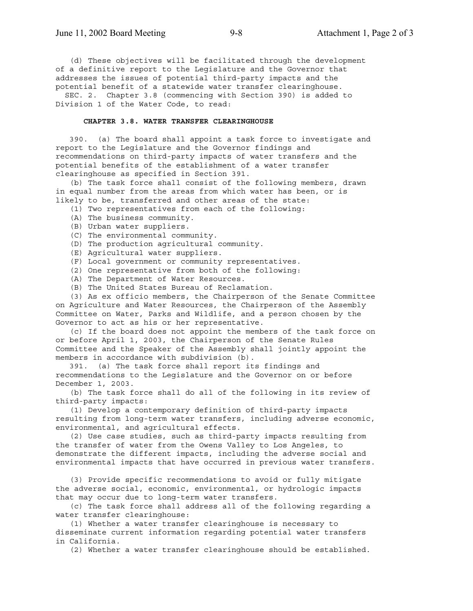(d) These objectives will be facilitated through the development of a definitive report to the Legislature and the Governor that addresses the issues of potential third-party impacts and the potential benefit of a statewide water transfer clearinghouse. SEC. 2. Chapter 3.8 (commencing with Section 390) is added to

Division 1 of the Water Code, to read:

#### **CHAPTER 3.8. WATER TRANSFER CLEARINGHOUSE**

 390. (a) The board shall appoint a task force to investigate and report to the Legislature and the Governor findings and recommendations on third-party impacts of water transfers and the potential benefits of the establishment of a water transfer clearinghouse as specified in Section 391.

 (b) The task force shall consist of the following members, drawn in equal number from the areas from which water has been, or is likely to be, transferred and other areas of the state:

(1) Two representatives from each of the following:

- (A) The business community.
- (B) Urban water suppliers.
- (C) The environmental community.
- (D) The production agricultural community.
- (E) Agricultural water suppliers.
- (F) Local government or community representatives.
- (2) One representative from both of the following:
- (A) The Department of Water Resources.
- (B) The United States Bureau of Reclamation.

 (3) As ex officio members, the Chairperson of the Senate Committee on Agriculture and Water Resources, the Chairperson of the Assembly Committee on Water, Parks and Wildlife, and a person chosen by the Governor to act as his or her representative.

 (c) If the board does not appoint the members of the task force on or before April 1, 2003, the Chairperson of the Senate Rules Committee and the Speaker of the Assembly shall jointly appoint the members in accordance with subdivision (b).

 391. (a) The task force shall report its findings and recommendations to the Legislature and the Governor on or before December 1, 2003.

 (b) The task force shall do all of the following in its review of third-party impacts:

 (1) Develop a contemporary definition of third-party impacts resulting from long-term water transfers, including adverse economic, environmental, and agricultural effects.

 (2) Use case studies, such as third-party impacts resulting from the transfer of water from the Owens Valley to Los Angeles, to demonstrate the different impacts, including the adverse social and environmental impacts that have occurred in previous water transfers.

 (3) Provide specific recommendations to avoid or fully mitigate the adverse social, economic, environmental, or hydrologic impacts that may occur due to long-term water transfers.

 (c) The task force shall address all of the following regarding a water transfer clearinghouse:

 (1) Whether a water transfer clearinghouse is necessary to disseminate current information regarding potential water transfers in California.

(2) Whether a water transfer clearinghouse should be established.